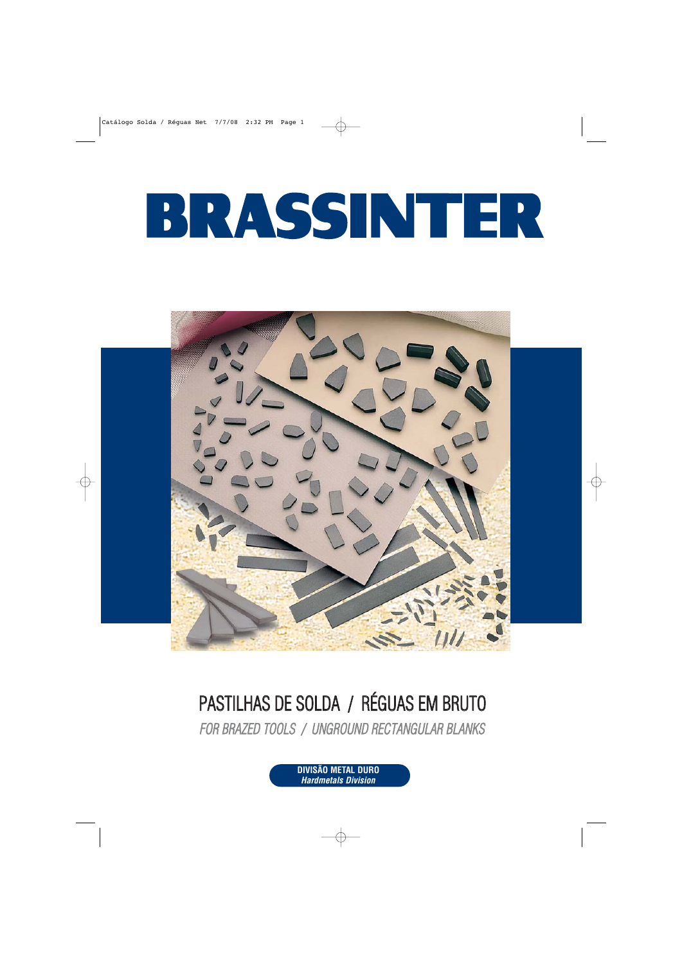

# PASTILHAS DE SOLDA / RÉGUAS EM BRUTO

FOR BRAZED TOOLS / UNGROUND RECTANGULAR BLANKS

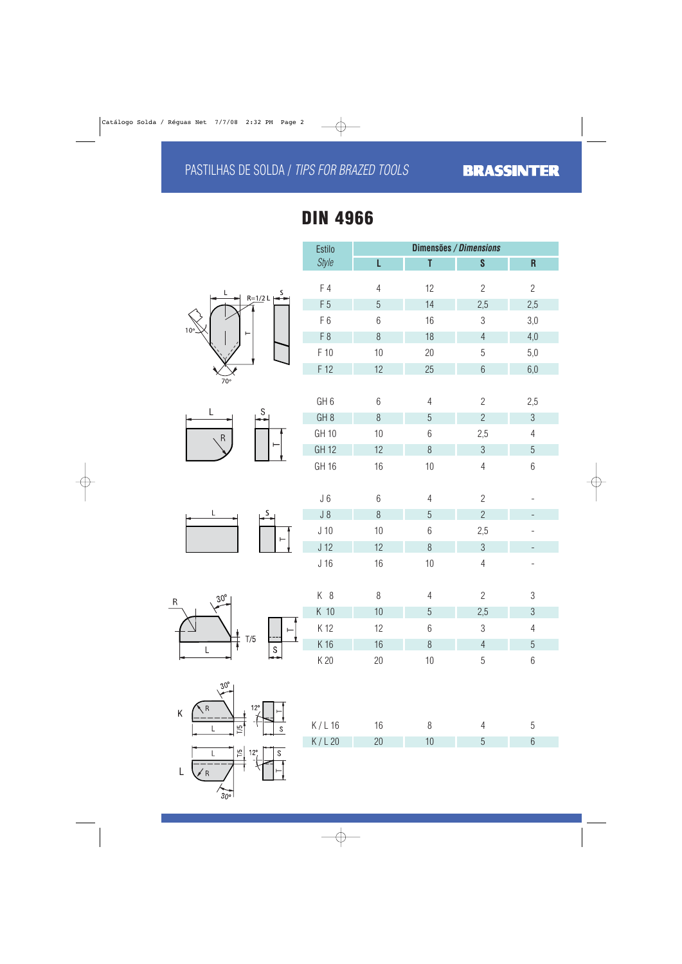### PASTILHAS DE SOLDA / TIPS FOR BRAZED TOOLS

# **DIN 4966**









Estilo **Dimensões / Dimensions**

Style **L T** S R

F 4 12 2 2















| K/L16 | 16 |  | Ü |
|-------|----|--|---|
| K/L20 |    |  |   |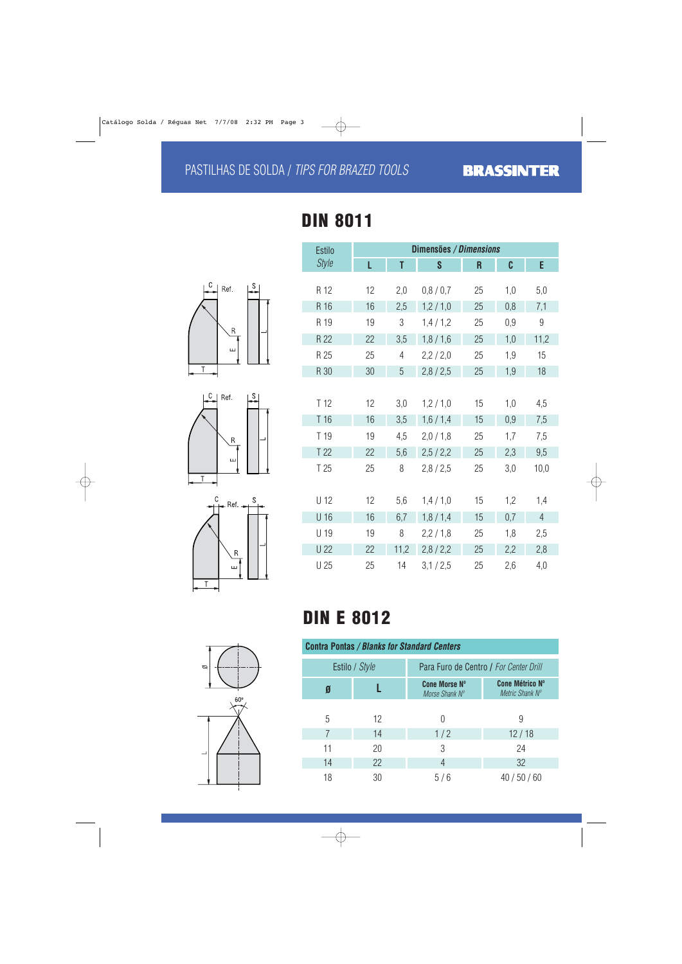## PASTILHAS DE SOLDA / TIPS FOR BRAZED TOOLS







| <b>Estilo</b>   | Dimensões / Dimensions |                |         |    |     |                |  |  |
|-----------------|------------------------|----------------|---------|----|-----|----------------|--|--|
| <b>Style</b>    | L                      | T              | S       | R  | C   | E              |  |  |
| R 12            | 12                     | 2,0            | 0,8/0,7 | 25 | 1,0 | 5,0            |  |  |
| R 16            | 16                     | 2,5            | 1,2/1,0 | 25 | 0,8 | 7,1            |  |  |
| R 19            | 19                     | 3              | 1,4/1,2 | 25 | 0,9 | 9              |  |  |
| R 22            | 22                     | 3,5            | 1,8/1,6 | 25 | 1,0 | 11,2           |  |  |
| R 25            | 25                     | $\overline{4}$ | 2,2/2,0 | 25 | 1,9 | 15             |  |  |
| R 30            | 30                     | 5              | 2,8/2,5 | 25 | 1,9 | 18             |  |  |
|                 |                        |                |         |    |     |                |  |  |
| T <sub>12</sub> | 12                     | 3,0            | 1,2/1,0 | 15 | 1,0 | 4,5            |  |  |
| T16             | 16                     | 3,5            | 1,6/1,4 | 15 | 0,9 | 7,5            |  |  |
| T 19            | 19                     | 4,5            | 2,0/1,8 | 25 | 1,7 | 7,5            |  |  |
| T 22            | 22                     | 5,6            | 2,5/2,2 | 25 | 2,3 | 9,5            |  |  |
| T 25            | 25                     | 8              | 2,8/2,5 | 25 | 3,0 | 10,0           |  |  |
| U 12            | 12                     | 5,6            | 1,4/1,0 | 15 | 1,2 | 1,4            |  |  |
| U 16            | 16                     | 6,7            | 1,8/1,4 | 15 | 0,7 | $\overline{4}$ |  |  |
| U 19            | 19                     | 8              | 2,2/1,8 | 25 | 1,8 | 2,5            |  |  |
| <b>U22</b>      | 22                     | 11,2           | 2,8/2,2 | 25 | 2,2 | 2,8            |  |  |
| U 25            | 25                     | 14             | 3,1/2,5 | 25 | 2,6 | 4,0            |  |  |

# **DIN E 8012**

| <b>Contra Pontas / Blanks for Standard Centers</b> |                |                                        |                                           |  |  |  |
|----------------------------------------------------|----------------|----------------------------------------|-------------------------------------------|--|--|--|
|                                                    | Estilo / Style | Para Furo de Centro / For Center Drill |                                           |  |  |  |
| Ø                                                  |                | <b>Cone Morse N°</b><br>Morse Shank N° | <b>Cone Métrico Nº</b><br>Metric Shank Nº |  |  |  |
|                                                    |                |                                        |                                           |  |  |  |
| 5                                                  | 12             |                                        | 9                                         |  |  |  |
|                                                    | 14             | 1/2                                    | 12/18                                     |  |  |  |
| 11                                                 | 20             | 3                                      | 24                                        |  |  |  |
| 14                                                 | 22             | 4                                      | 32                                        |  |  |  |
| 18                                                 | 30             | 5/6                                    | 40/50/60                                  |  |  |  |

 $\varnothing$  $60^\circ$ 

# **DIN 8011**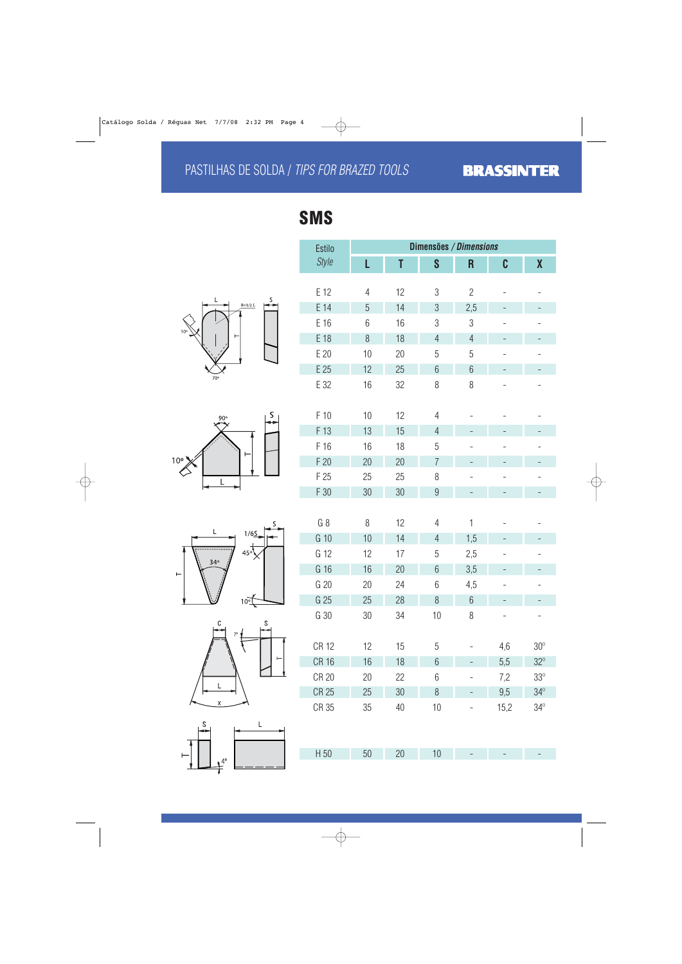## PASTILHAS DE SOLDA / TIPS FOR BRAZED TOOLS











| <b>Estilo</b> | Dimensões / Dimensions |    |                 |                          |                          |                          |  |
|---------------|------------------------|----|-----------------|--------------------------|--------------------------|--------------------------|--|
| <b>Style</b>  | L                      | T  | S               | $\overline{\mathsf{R}}$  | C                        | $\boldsymbol{X}$         |  |
| E 12          | $\overline{4}$         | 12 | $\sqrt{3}$      | $\overline{2}$           |                          |                          |  |
| E 14          | 5                      | 14 | $\mathfrak{S}$  | 2,5                      |                          |                          |  |
| E 16          | 6                      | 16 | 3               | 3                        | $\overline{\phantom{0}}$ | $\overline{\phantom{0}}$ |  |
| E 18          | 8                      | 18 | $\overline{4}$  | $\overline{4}$           |                          |                          |  |
| E 20          | 10                     | 20 | 5               | 5                        | $\overline{\phantom{0}}$ | $\overline{\phantom{0}}$ |  |
| E 25          | 12                     | 25 | $6\phantom{.}6$ | $6\phantom{.}6$          |                          |                          |  |
| E 32          | 16                     | 32 | 8               | 8                        |                          |                          |  |
|               |                        |    |                 |                          |                          |                          |  |
| F 10          | 10                     | 12 | $\overline{4}$  |                          |                          |                          |  |
| F 13          | 13                     | 15 | $\overline{4}$  | $\overline{\phantom{0}}$ |                          |                          |  |
| F 16          | 16                     | 18 | 5               |                          |                          |                          |  |
| F 20          | 20                     | 20 | $\overline{7}$  |                          |                          |                          |  |
| F 25          | 25                     | 25 | 8               |                          | $\overline{\phantom{0}}$ | $\overline{\phantom{0}}$ |  |
| F 30          | 30                     | 30 | $\overline{9}$  | $\overline{a}$           |                          | $\overline{a}$           |  |
|               |                        |    |                 |                          |                          |                          |  |
| $G_8$         | 8                      | 12 | $\overline{4}$  | $\mathbf 1$              |                          |                          |  |
| G 10          | 10                     | 14 | $\overline{4}$  | 1,5                      |                          |                          |  |
| G 12          | 12                     | 17 | 5               | 2,5                      | $\overline{\phantom{0}}$ | $\overline{\phantom{0}}$ |  |
| G 16          | 16                     | 20 | $6\phantom{.}6$ | 3,5                      |                          |                          |  |
| G 20          | 20                     | 24 | 6               | 4,5                      | $\overline{\phantom{0}}$ | $\overline{\phantom{0}}$ |  |
| G 25          | 25                     | 28 | 8               | $6\,$                    |                          |                          |  |
| G 30          | 30                     | 34 | 10              | 8                        |                          |                          |  |
|               |                        |    |                 |                          |                          |                          |  |
| <b>CR 12</b>  | 12                     | 15 | 5               |                          | 4,6                      | $30^{\circ}$             |  |

 $CR 16$  16 18 6 - 5,5 32°  $CR$  20  $20$  22 6 - 7,2 33<sup>°</sup>  $CR\ 25$  25 30 8 - 9,5 34 $^{\circ}$  $CR\,35$   $35$   $40$   $10$  -  $15,2$   $34^{\circ}$ 

H 50 50 20 10 - - -

**SMS**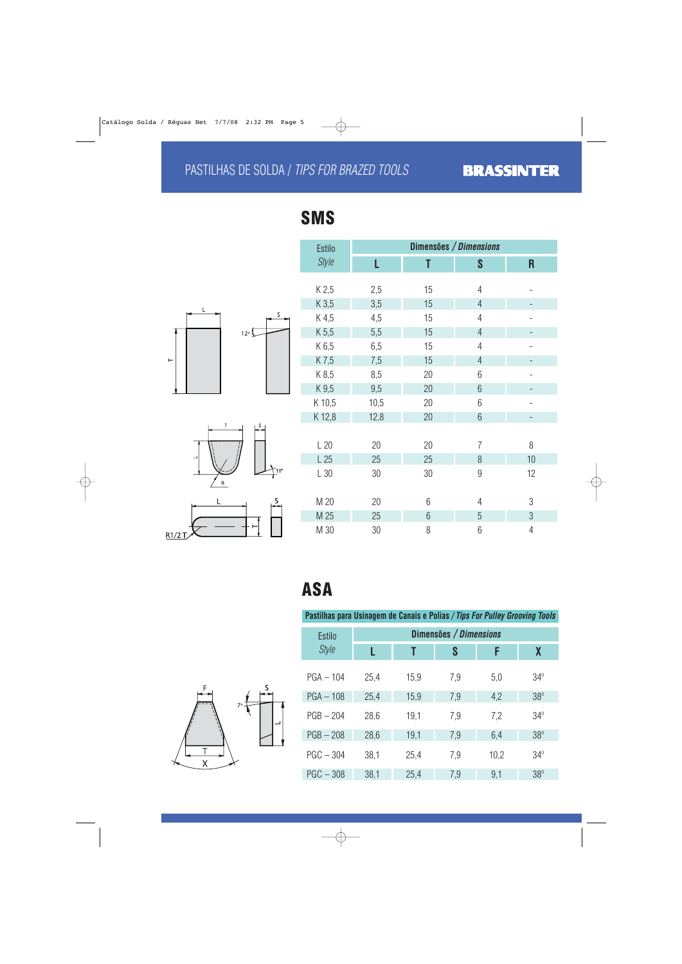## PASTILHAS DE SOLDA / TIPS FOR BRAZED TOOLS







| <b>Estilo</b> | Dimensões / Dimensions |    |                |                |  |  |  |
|---------------|------------------------|----|----------------|----------------|--|--|--|
| <b>Style</b>  | L                      | T  | S              | R              |  |  |  |
| K 2,5         | 2,5                    | 15 | $\overline{4}$ |                |  |  |  |
| K 3,5         | 3,5                    | 15 | $\overline{4}$ |                |  |  |  |
| K 4,5         | 4,5                    | 15 | $\overline{4}$ |                |  |  |  |
| K 5,5         | 5,5                    | 15 | $\overline{4}$ |                |  |  |  |
| K 6,5         | 6,5                    | 15 | $\overline{4}$ |                |  |  |  |
| K7,5          | 7,5                    | 15 | $\overline{4}$ |                |  |  |  |
| K 8,5         | 8,5                    | 20 | 6              |                |  |  |  |
| K 9,5         | 9,5                    | 20 | 6              |                |  |  |  |
| K 10,5        | 10,5                   | 20 | 6              |                |  |  |  |
| K 12,8        | 12,8                   | 20 | 6              |                |  |  |  |
|               |                        |    |                |                |  |  |  |
| L20           | 20                     | 20 | $\overline{7}$ | 8              |  |  |  |
| L25           | 25                     | 25 | 8              | 10             |  |  |  |
| L30           | 30                     | 30 | $\overline{9}$ | 12             |  |  |  |
|               |                        |    |                |                |  |  |  |
| M 20          | 20                     | 6  | $\overline{4}$ | 3              |  |  |  |
| M 25          | 25                     | 6  | 5              | $\mathfrak{Z}$ |  |  |  |
| M 30          | 30                     | 8  | 6              | $\overline{4}$ |  |  |  |

# **ASA**

#### **Pastilhas para Usinagem de Canais e Polias / Tips For Pulley Grooving Tools**

| <b>Estilo</b> |      |      | Dimensões / Dimensions |      |            |
|---------------|------|------|------------------------|------|------------|
| <b>Style</b>  |      | T    | S                      | F    | X          |
| $PGA - 104$   | 25,4 | 15,9 | 7,9                    | 5,0  | $34^\circ$ |
| $PGA - 108$   | 25,4 | 15,9 | 7,9                    | 4,2  | $38^\circ$ |
| $PGB - 204$   | 28,6 | 19,1 | 7,9                    | 7,2  | $34^\circ$ |
| $PGB - 208$   | 28,6 | 19,1 | 7,9                    | 6,4  | $38^\circ$ |
| $PGC - 304$   | 38,1 | 25,4 | 7,9                    | 10,2 | $34^\circ$ |
| $PGC - 308$   | 38,1 | 25,4 | 7,9                    | 9,1  | $38^\circ$ |



# **SMS**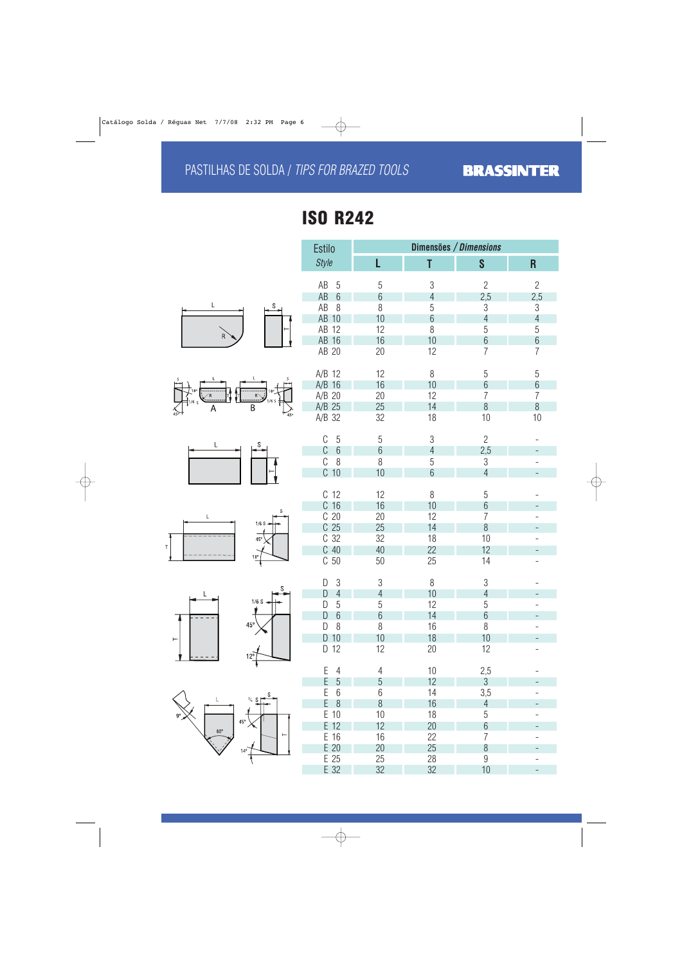# **ISO R242**













|    | <b>Estilo</b>                 |                |                 | Dimensões / Dimensions |                          |  |  |  |
|----|-------------------------------|----------------|-----------------|------------------------|--------------------------|--|--|--|
|    | <b>Style</b>                  | L              | T               | S                      | $\overline{\mathsf{R}}$  |  |  |  |
|    | AB<br>5                       | 5              | 3               | $\overline{2}$         | $\overline{2}$           |  |  |  |
|    | AB<br>$6\phantom{.}6$         | $6\,$          | $\overline{4}$  | 2,5                    | 2,5                      |  |  |  |
|    | AB<br>8                       | 8              | 5               | $\sqrt{3}$             | $3\,$                    |  |  |  |
|    | AB 10                         | 10             | $6\phantom{.}6$ | $\overline{4}$         | $\overline{4}$           |  |  |  |
|    | AB 12                         | 12             | 8               | 5                      | 5                        |  |  |  |
|    | AB 16                         | 16             | 10              | $6\phantom{a}$         | $6\phantom{.}$           |  |  |  |
|    | AB 20                         | 20             | 12              | $\overline{7}$         | $\overline{7}$           |  |  |  |
|    | $A/B$ 12                      | 12             | 8               | 5                      | 5                        |  |  |  |
|    | $A/B$ 16                      | 16             | 10              | $6\,$                  | $6\phantom{.}$           |  |  |  |
|    | A/B 20                        | 20             | 12              | $\overline{7}$         | $\overline{7}$           |  |  |  |
| X  | A/B 25                        | 25             | 14              | 8                      | 8                        |  |  |  |
| 50 | A/B 32                        | 32             | 18              | 10                     | 10                       |  |  |  |
|    | C<br>$\sqrt{5}$               | 5              | 3               | $\overline{2}$         |                          |  |  |  |
|    | C<br>$6\,$                    | $6\phantom{.}$ | $\overline{4}$  | 2,5                    | -                        |  |  |  |
|    | C<br>8                        | 8              | 5               | 3                      |                          |  |  |  |
|    | $C$ 10                        | 10             | 6               | $\overline{4}$         |                          |  |  |  |
|    | C <sub>12</sub>               | 12             | 8               | 5                      |                          |  |  |  |
|    | C <sub>16</sub>               | 16             | 10              | $6\,$                  |                          |  |  |  |
|    | C <sub>20</sub>               | 20             | 12              | $\overline{7}$         |                          |  |  |  |
|    | C <sub>25</sub>               | 25             | 14              | $8\,$                  |                          |  |  |  |
|    | C <sub>32</sub>               | 32             | 18              | 10                     |                          |  |  |  |
|    | $C$ 40                        | 40             | 22              | 12                     | $\overline{\phantom{0}}$ |  |  |  |
|    | C <sub>50</sub>               | 50             | 25              | 14                     |                          |  |  |  |
|    | 3<br>D                        | $\sqrt{3}$     | 8               | 3                      |                          |  |  |  |
|    | $\overline{4}$<br>D           | $\overline{4}$ | 10              | $\overline{4}$         | -                        |  |  |  |
|    | $5\,$<br>D                    | 5              | 12              | 5                      |                          |  |  |  |
|    | $6\,$<br>D                    | $6\phantom{a}$ | 14              | $6\phantom{.}6$        |                          |  |  |  |
|    | 8<br>D                        | 8              | 16              | 8                      |                          |  |  |  |
|    | 10<br>D                       | 10             | 18              | 10                     |                          |  |  |  |
|    | D 12                          | 12             | 20              | 12                     |                          |  |  |  |
|    | E<br>4<br>E<br>$\overline{5}$ | 4<br>5         | 10<br>12        | 2,5<br>$\mathfrak{S}$  |                          |  |  |  |
|    | E<br>$6\,$                    | 6              | 14              | 3,5                    |                          |  |  |  |
|    | E<br>8                        | 8              | 16              | $\overline{4}$         |                          |  |  |  |
|    | E 10                          | 10             | 18              | 5                      |                          |  |  |  |
|    | E 12                          | 12             | 20              | $6\,$                  |                          |  |  |  |
|    | 16<br>E                       | 16             | 22              | $\overline{7}$         |                          |  |  |  |
|    | $E$ 20                        | 20             | 25              | 8                      |                          |  |  |  |
|    | E 25                          | 25             | 28              | $9\phantom{.}$         |                          |  |  |  |
|    | E 32                          | 32             | 32              | 10                     |                          |  |  |  |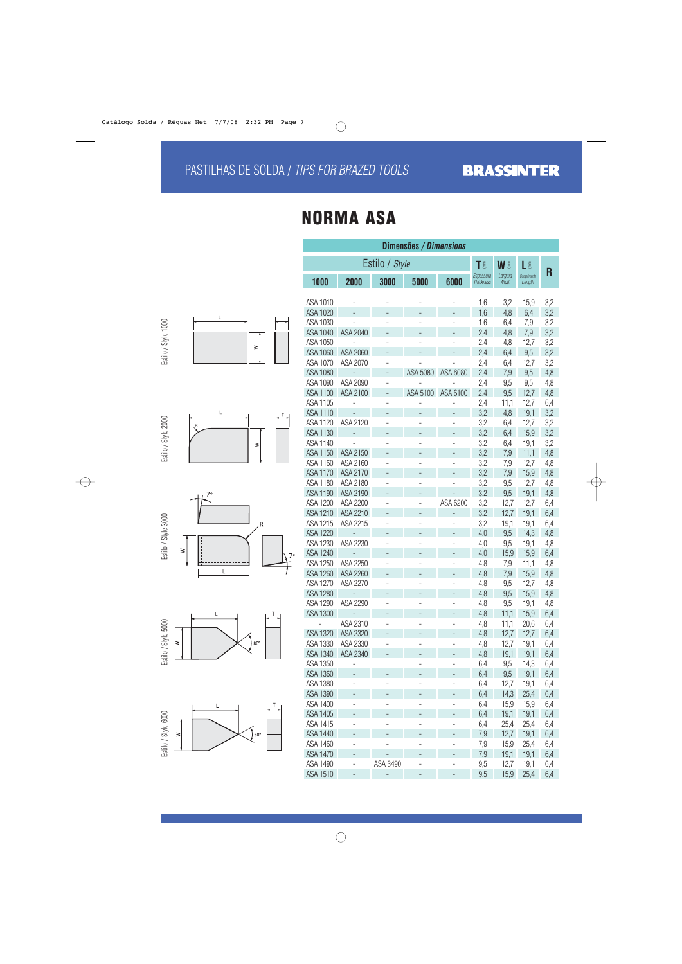# **NORMA ASA**

|                     |                      | 100                                  |
|---------------------|----------------------|--------------------------------------|
|                     |                      | ASA <sub>1</sub>                     |
|                     |                      | ASA <sub>1</sub>                     |
|                     | L<br>$\overline{1}$  | ASA <sub>1</sub>                     |
|                     |                      | ASA <sub>1</sub>                     |
| Estilo / Style 1000 | $\geq$               | ASA <sub>1</sub>                     |
|                     |                      | ASA <sub>1</sub>                     |
|                     |                      | ASA <sub>1</sub>                     |
|                     |                      | ASA <sub>1</sub>                     |
|                     |                      | ASA <sub>1</sub>                     |
|                     |                      | ASA <sub>1</sub>                     |
|                     |                      | ASA <sub>1</sub>                     |
|                     | L<br>I               | ASA <sub>1</sub>                     |
|                     | R                    | ASA <sub>1</sub>                     |
|                     |                      | ASA <sub>1</sub>                     |
|                     | ≧                    | ASA <sub>1</sub>                     |
| Estilo / Style 2000 |                      | ASA <sub>1</sub>                     |
|                     |                      | ASA <sub>1</sub>                     |
|                     |                      | ASA <sub>1</sub>                     |
|                     |                      | ASA <sub>1</sub>                     |
|                     | 70                   | ASA <sub>1</sub>                     |
|                     |                      | ASA <sub>1</sub>                     |
|                     |                      | ASA <sub>1</sub>                     |
| Estilo / Style 3000 | R                    | ASA <sub>1</sub>                     |
|                     |                      | ASA <sub>1</sub>                     |
|                     | $\geq$               | ASA <sub>1</sub>                     |
|                     | 70                   | ASA <sub>1</sub>                     |
|                     | $\overline{L}$       | ASA <sub>1</sub>                     |
|                     |                      | ASA <sub>1</sub>                     |
|                     |                      | ASA1                                 |
|                     |                      | ASA <sub>1</sub>                     |
|                     |                      | ASA <sub>1</sub><br>ASA <sub>1</sub> |
|                     | T<br>L               |                                      |
|                     |                      | ASA <sub>1</sub>                     |
|                     | $80^\circ$<br>$\geq$ | ASA <sub>1</sub>                     |
| Estilo / Style 5000 |                      | ASA <sub>1</sub>                     |
|                     |                      | ASA 1                                |
|                     |                      | ASA <sub>1</sub>                     |
|                     |                      | ASA <sub>1</sub>                     |
|                     |                      | ASA <sub>1</sub>                     |
|                     | Τ                    | ASA <sub>1</sub>                     |
|                     |                      |                                      |



| Dimensões / <i>Dimensions</i> |                                      |                          |                |                          |                               |                  |                       |     |  |
|-------------------------------|--------------------------------------|--------------------------|----------------|--------------------------|-------------------------------|------------------|-----------------------|-----|--|
|                               |                                      | Estilo / Style           |                |                          | T                             | W I              | L                     | R   |  |
| 1000                          | 2000                                 | 3000                     | 5000           | 6000                     | Espessura<br><b>Thickness</b> | Largura<br>Width | Comprimento<br>Length |     |  |
|                               |                                      |                          |                |                          |                               |                  |                       |     |  |
| ASA 1010                      |                                      |                          |                |                          | 1,6                           | 3,2              | 15,9                  | 3,2 |  |
| ASA 1020                      |                                      |                          |                |                          | 1,6                           | 4,8              | 6,4                   | 3,2 |  |
| ASA 1030                      |                                      |                          |                |                          | 1,6                           | 6,4              | 7,9                   | 3.2 |  |
| ASA 1040                      | ASA 2040                             |                          |                |                          | 2,4                           | 4,8              | 7,9                   | 3,2 |  |
| ASA 1050                      |                                      |                          |                |                          | 2,4                           | 4,8              | 12,7                  | 3,2 |  |
| ASA 1060                      | ASA 2060                             |                          |                |                          | 2,4                           | 6,4              | 9,5                   | 3,2 |  |
| ASA 1070                      | ASA 2070                             |                          |                |                          | 2,4                           | 6,4              | 12,7                  | 3,2 |  |
| ASA 1080                      | -                                    |                          | ASA 5080       | ASA 6080                 | 2,4                           | 7,9              | 9,5                   | 4,8 |  |
| ASA 1090                      | ASA 2090                             |                          |                |                          | 2,4                           | 9,5              | 9,5                   | 4,8 |  |
| ASA 1100                      | ASA 2100                             |                          | ASA 5100       | ASA 6100                 | 2,4                           | 9,5              | 12,7                  | 4,8 |  |
| <b>ASA 1105</b>               |                                      |                          |                |                          | 2,4                           | 11,1             | 12,7                  | 6,4 |  |
| ASA 1110                      |                                      |                          |                |                          | 3,2                           | 4,8              | 19,1                  | 3,2 |  |
| ASA 1120                      | ASA 2120                             |                          |                |                          | 3,2                           | 6,4              | 12,7                  | 3,2 |  |
| <b>ASA 1130</b>               |                                      | -                        |                |                          | 3,2                           | 6,4              | 15,9                  | 3,2 |  |
| ASA 1140                      |                                      |                          |                |                          | 3,2                           | 6,4              | 19,1                  | 3,2 |  |
| ASA 1150                      | ASA 2150                             |                          |                |                          | 3,2                           | 7,9              | 11,1                  | 4,8 |  |
| ASA 1160                      | ASA 2160                             |                          |                |                          | 3,2                           | 7,9              | 12,7                  | 4,8 |  |
| <b>ASA 1170</b>               | ASA 2170                             |                          |                |                          | 3,2                           | 7,9              | 15,9                  | 4,8 |  |
| ASA 1180                      | ASA 2180                             | ÷                        |                |                          | 3,2                           | 9,5              | 12,7                  | 4,8 |  |
| ASA 1190                      | ASA 2190                             |                          |                |                          | 3,2                           | 9,5              | 19,1                  | 4,8 |  |
| ASA 1200                      | ASA 2200                             |                          |                | ASA 6200                 | 3,2                           | 12,7             | 12,7                  | 6,4 |  |
| ASA 1210                      | ASA 2210                             | ÷,                       | -              | $\overline{\phantom{0}}$ | 3,2                           | 12,7             | 19,1                  | 6,4 |  |
| ASA 1215                      | ASA 2215                             |                          |                |                          | 3,2                           | 19,1             | 19,1                  | 6,4 |  |
| <b>ASA 1220</b>               |                                      |                          |                |                          | 4,0                           | 9,5              | 14,3                  | 4,8 |  |
| ASA 1230                      | ASA 2230                             | $\overline{\phantom{0}}$ | $\overline{a}$ |                          | 4,0                           | 9,5              | 19,1                  | 4,8 |  |
| <b>ASA 1240</b>               |                                      |                          |                |                          | 4,0                           | 15,9             | 15,9                  | 6,4 |  |
| ASA 1250                      | ASA 2250                             | $\overline{a}$           | -              | -                        | 4,8                           | 7,9              | 11,1                  | 4,8 |  |
| ASA 1260                      | ASA 2260                             | -                        |                |                          | 4,8                           | 7,9              | 15,9                  | 4,8 |  |
| ASA 1270                      | ASA 2270                             | ÷                        | -              |                          | 4,8                           | 9,5              | 12,7                  | 4,8 |  |
| <b>ASA 1280</b>               |                                      |                          |                |                          | 4,8                           | 9,5              | 15,9                  | 4,8 |  |
| ASA 1290                      | ASA 2290                             |                          |                |                          |                               |                  |                       |     |  |
|                               |                                      |                          |                |                          | 4,8                           | 9,5              | 19,1                  | 4,8 |  |
| ASA 1300                      | $\overline{\phantom{a}}$<br>ASA 2310 |                          |                |                          | 4,8                           | 11,1             | 15,9                  | 6,4 |  |
|                               |                                      |                          |                |                          | 4,8                           | 11,1             | 20,6                  | 6,4 |  |
| ASA 1320                      | ASA 2320                             | -                        |                |                          | 4,8                           | 12,7             | 12,7                  | 6,4 |  |
| ASA 1330                      | ASA 2330                             |                          | -              |                          | 4,8                           | 12,7             | 19,1                  | 6,4 |  |
| ASA 1340                      | ASA 2340                             |                          | -              | -                        | 4,8                           | 19,1             | 19,1                  | 6,4 |  |
| ASA 1350                      |                                      |                          |                |                          | 6,4                           | 9,5              | 14,3                  | 6,4 |  |
| ASA 1360                      | $\overline{a}$                       |                          | $\overline{a}$ | $\overline{a}$           | 6,4                           | 9,5              | 19,1                  | 6,4 |  |
| ASA 1380                      | -                                    | -                        | ÷              | -                        | 6,4                           | 12,7             | 19,1                  | 6,4 |  |
| ASA 1390                      |                                      |                          |                |                          | 6,4                           | 14,3             | 25,4                  | 6,4 |  |
| ASA 1400                      | -                                    | -                        | -              | -                        | 6,4                           | 15,9             | 15,9                  | 6,4 |  |
| ASA 1405                      |                                      |                          |                |                          | 6,4                           | 19,1             | 19,1                  | 6,4 |  |
| ASA 1415                      | -                                    | ÷                        | -              | -                        | 6,4                           | 25,4             | 25,4                  | 6,4 |  |
| ASA 1440                      | -                                    |                          | -              |                          | 7,9                           | 12,7             | 19,1                  | 6,4 |  |
| ASA 1460                      | -                                    | $\overline{a}$           | $\overline{a}$ | $\overline{a}$           | 7,9                           | 15,9             | 25,4                  | 6,4 |  |
| <b>ASA 1470</b>               | -                                    |                          |                |                          | 7,9                           | 19,1             | 19,1                  | 6,4 |  |
| ASA 1490                      | -                                    | ASA 3490                 | -              | -                        | 9,5                           | 12,7             | 19,1                  | 6,4 |  |
| ASA 1510                      |                                      | ÷,                       | $\overline{a}$ |                          | 9,5                           | 15,9             | 25,4                  | 6,4 |  |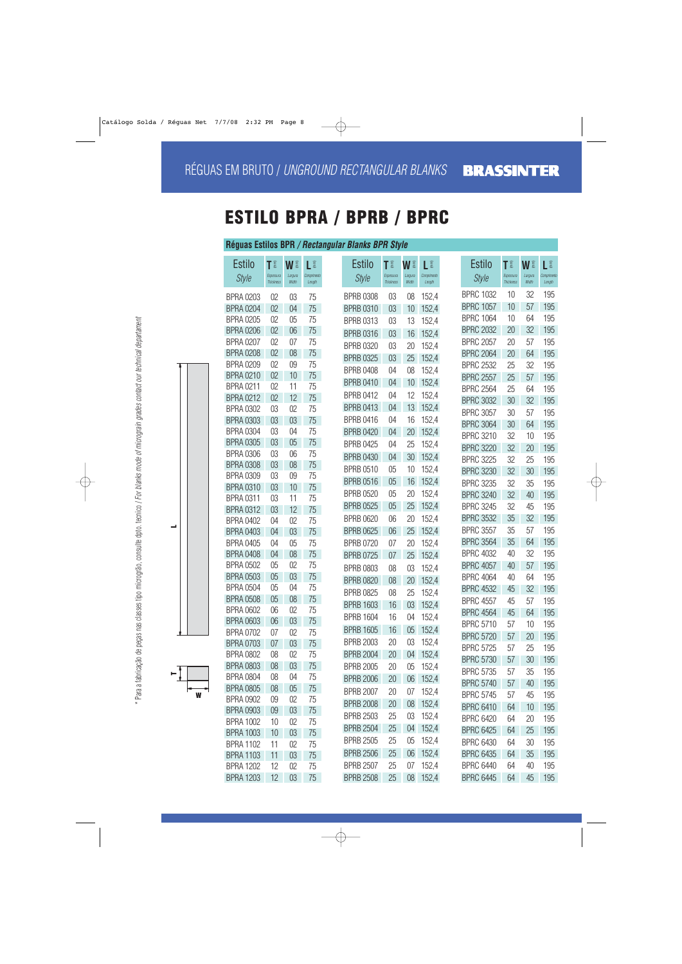## **ESTILO BPRA / BPRB / BPRC**

#### **Réguas Estilos BPR / Rectangular Blanks BPR Style**

| <b>Estilo</b>                        | T                             | W I              | L                     | <b>Estilo</b>    | <b>TE</b>                     | W §              | L                     | <b>Estilo</b>    | <b>TE</b>                     | WI               | LÊ                    |
|--------------------------------------|-------------------------------|------------------|-----------------------|------------------|-------------------------------|------------------|-----------------------|------------------|-------------------------------|------------------|-----------------------|
| <b>Style</b>                         | Espessura<br><b>Thickness</b> | Largura<br>Width | Comprimento<br>Length | <b>Style</b>     | Espessura<br><b>Thickness</b> | Largura<br>Width | Comprimento<br>Length | <b>Style</b>     | Espessura<br><b>Thickness</b> | Largura<br>Width | Comprimento<br>Length |
| <b>BPRA 0203</b>                     | 02                            | 03               | 75                    | <b>BPRB 0308</b> | 03                            | 08               | 152,4                 | <b>BPRC 1032</b> | 10                            | 32               | 195                   |
| <b>BPRA 0204</b>                     | 02                            | 04               | 75                    | <b>BPRB 0310</b> | 03                            | 10               | 152,4                 | <b>BPRC 1057</b> | 10                            | 57               | 195                   |
| <b>BPRA 0205</b>                     | 02                            | 05               | 75                    | <b>BPRB 0313</b> | 03                            | 13               | 152,4                 | <b>BPRC 1064</b> | 10                            | 64               | 195                   |
| <b>BPRA 0206</b>                     | 02                            | 06               | 75                    | <b>BPRB 0316</b> | 03                            | 16               | 152,4                 | <b>BPRC 2032</b> | 20                            | 32               | 195                   |
| <b>BPRA 0207</b>                     | 02                            | 07               | 75                    | <b>BPRB 0320</b> | 03                            | 20               | 152,4                 | <b>BPRC 2057</b> | 20                            | 57               | 195                   |
| <b>BPRA 0208</b>                     | 02                            | 08               | 75                    | <b>BPRB 0325</b> | 03                            | 25               | 152,4                 | <b>BPRC 2064</b> | 20                            | 64               | 195                   |
| <b>BPRA 0209</b>                     | 02                            | 09               | 75                    | <b>BPRB 0408</b> | 04                            | 08               | 152,4                 | <b>BPRC 2532</b> | 25                            | 32               | 195                   |
| <b>BPRA 0210</b>                     | 02                            | 10               | 75                    | <b>BPRB 0410</b> | 04                            | 10               | 152,4                 | <b>BPRC 2557</b> | 25                            | 57               | 195                   |
| <b>BPRA 0211</b>                     | 02                            | 11               | 75                    |                  |                               |                  |                       | <b>BPRC 2564</b> | 25                            | 64               | 195                   |
| <b>BPRA 0212</b>                     | 02                            | 12               | 75                    | <b>BPRB 0412</b> | 04                            | 12               | 152,4                 | <b>BPRC 3032</b> | 30                            | 32               | 195                   |
| <b>BPRA 0302</b>                     | 03                            | 02               | 75                    | <b>BPRB 0413</b> | 04                            | 13               | 152,4                 | <b>BPRC 3057</b> | 30                            | 57               | 195                   |
| <b>BPRA 0303</b>                     | 03                            | 03               | 75                    | <b>BPRB 0416</b> | 04                            | 16               | 152,4                 | <b>BPRC 3064</b> | 30                            | 64               | 195                   |
| <b>BPRA 0304</b>                     | 03                            | 04               | 75                    | <b>BPRB 0420</b> | 04                            | 20               | 152,4                 | <b>BPRC 3210</b> | 32                            | 10               | 195                   |
| <b>BPRA 0305</b>                     | 03                            | 05               | 75                    | <b>BPRB 0425</b> | 04                            | 25               | 152,4                 | <b>BPRC 3220</b> | 32                            | 20               | 195                   |
| <b>BPRA 0306</b>                     | 03                            | 06               | 75                    | <b>BPRB 0430</b> | 04                            | 30               | 152,4                 | <b>BPRC 3225</b> | 32                            | 25               | 195                   |
| <b>BPRA 0308</b><br><b>BPRA 0309</b> | 03<br>03                      | 08<br>09         | 75<br>75              | <b>BPRB 0510</b> | 05                            | 10               | 152,4                 | <b>BPRC 3230</b> | 32                            | 30               | 195                   |
| <b>BPRA 0310</b>                     | 03                            | 10               | 75                    | <b>BPRB 0516</b> | 05                            | 16               | 152,4                 | <b>BPRC 3235</b> | 32                            | 35               | 195                   |
| <b>BPRA 0311</b>                     | 03                            | 11               | 75                    | <b>BPRB 0520</b> | 05                            | 20               | 152,4                 | <b>BPRC 3240</b> | 32                            | 40               | 195                   |
| <b>BPRA 0312</b>                     | 03                            | 12               | 75                    | <b>BPRB 0525</b> | 05                            | 25               | 152,4                 | <b>BPRC 3245</b> | 32                            | 45               | 195                   |
| <b>BPRA 0402</b>                     | 04                            | 02               | 75                    | <b>BPRB 0620</b> | 06                            | 20               | 152,4                 | <b>BPRC 3532</b> | 35                            | 32               | 195                   |
| <b>BPRA 0403</b>                     | 04                            | 03               | 75                    | <b>BPRB 0625</b> | 06                            | 25               | 152,4                 | <b>BPRC 3557</b> | 35                            | 57               | 195                   |
| <b>BPRA 0405</b>                     | 04                            | 05               | 75                    | <b>BPRB 0720</b> | 07                            | 20               | 152,4                 | <b>BPRC 3564</b> | 35                            | 64               | 195                   |
| <b>BPRA 0408</b>                     | 04                            | 08               | 75                    | <b>BPRB 0725</b> | 07                            | 25               | 152,4                 | <b>BPRC 4032</b> | 40                            | 32               | 195                   |
| <b>BPRA 0502</b>                     | 05                            | 02               | 75                    | <b>BPRB 0803</b> | 08                            | 03               | 152,4                 | <b>BPRC 4057</b> | 40                            | 57               | 195                   |
| <b>BPRA 0503</b>                     | 05                            | 03               | 75                    | <b>BPRB 0820</b> | 08                            | 20               | 152,4                 | <b>BPRC 4064</b> | 40                            | 64               | 195                   |
| <b>BPRA 0504</b>                     | 05                            | 04               | 75                    | <b>BPRB 0825</b> | 08                            | 25               | 152,4                 | <b>BPRC 4532</b> | 45                            | 32               | 195                   |
| <b>BPRA 0508</b>                     | 05                            | 08               | 75                    | <b>BPRB 1603</b> | 16                            | 03               | 152,4                 | <b>BPRC 4557</b> | 45                            | 57               | 195                   |
| <b>BPRA 0602</b>                     | 06                            | 02               | 75                    | <b>BPRB 1604</b> | 16                            | 04               | 152,4                 | <b>BPRC 4564</b> | 45                            | 64               | 195                   |
| <b>BPRA 0603</b>                     | 06                            | 03               | 75                    |                  |                               |                  |                       | <b>BPRC 5710</b> | 57                            | 10               | 195                   |
| <b>BPRA 0702</b>                     | 07                            | 02               | 75                    | <b>BPRB 1605</b> | 16                            | 05 <sub>o</sub>  | 152,4                 | <b>BPRC 5720</b> | 57                            | 20               | 195                   |
| <b>BPRA 0703</b>                     | 07                            | 03               | 75                    | <b>BPRB 2003</b> | 20                            | 03               | 152,4                 | <b>BPRC 5725</b> | 57                            | 25               | 195                   |
| <b>BPRA 0802</b>                     | 08                            | 02               | 75                    | <b>BPRB 2004</b> | 20                            |                  | 04 152,4              | <b>BPRC 5730</b> | 57                            | 30               | 195                   |
| <b>BPRA 0803</b>                     | 08                            | 03               | 75                    | <b>BPRB 2005</b> | 20                            | $05\,$           | 152,4                 | <b>BPRC 5735</b> | 57                            | 35               | 195                   |
| <b>BPRA 0804</b>                     | 08                            | 04               | 75                    | <b>BPRB 2006</b> | 20                            |                  | 06 152,4              | <b>BPRC 5740</b> | 57                            | 40               | 195                   |
| <b>BPRA 0805</b><br><b>BPRA 0902</b> | 08                            | 05               | 75                    | <b>BPRB 2007</b> | 20                            |                  | 07 152,4              | <b>BPRC 5745</b> | 57                            | 45               | 195                   |
| <b>BPRA 0903</b>                     | 09<br>09                      | 02<br>03         | 75<br>75              | <b>BPRB 2008</b> | 20                            | 08               | 152,4                 | <b>BPRC 6410</b> | 64                            | 10               | 195                   |
| <b>BPRA 1002</b>                     | 10                            | 02               | 75                    | <b>BPRB 2503</b> | 25                            | 03               | 152,4                 | <b>BPRC 6420</b> | 64                            | 20               | 195                   |
| <b>BPRA 1003</b>                     | 10                            | 03               | 75                    | <b>BPRB 2504</b> | 25                            | 04               | 152,4                 | <b>BPRC 6425</b> | 64                            | 25               | 195                   |
| <b>BPRA 1102</b>                     | 11                            | 02               | 75                    | <b>BPRB 2505</b> | 25                            | $05\,$           | 152,4                 | <b>BPRC 6430</b> | 64                            | 30               | 195                   |
| <b>BPRA 1103</b>                     | 11                            | 03               | 75                    | <b>BPRB 2506</b> | 25                            | 06               | 152,4                 | <b>BPRC 6435</b> | 64                            | 35               | 195                   |
| <b>BPRA 1202</b>                     | 12                            | 02               | 75                    | <b>BPRB 2507</b> | 25                            |                  | 07 152,4              | <b>BPRC 6440</b> | 64                            | 40               | 195                   |
| <b>BPRA 1203</b>                     | 12                            | 03               | 75                    | <b>BPRB 2508</b> | 25                            |                  | 08 152,4              | <b>BPRC 6445</b> | 64                            | 45               | 195                   |



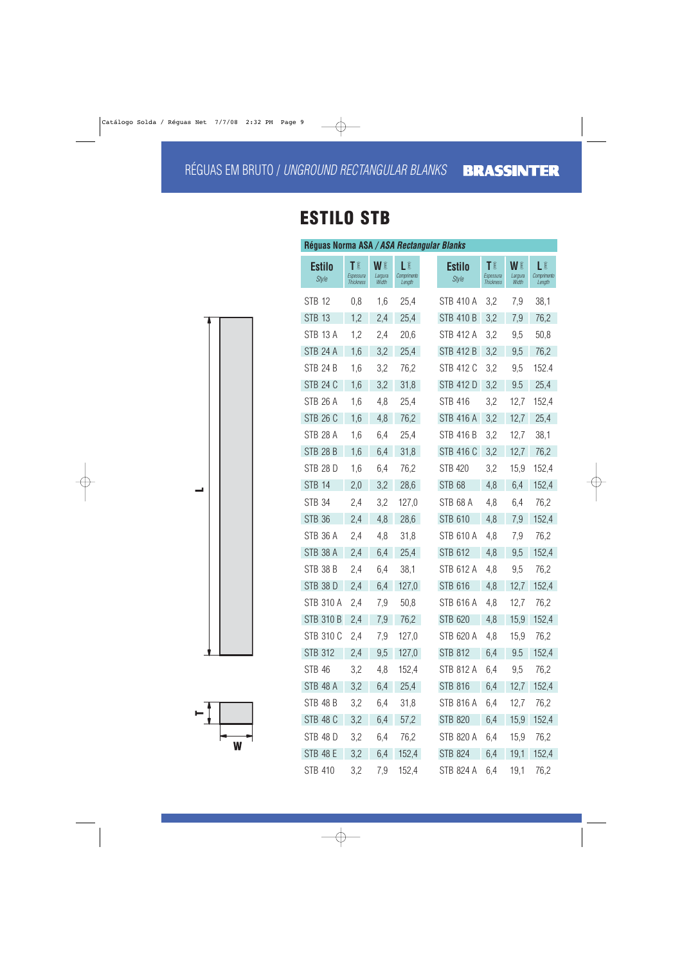# **ESTILO STB**

| Réguas Norma ASA / ASA Rectangular Blanks |                                    |                        |                             |                               |                                    |                        |                             |
|-------------------------------------------|------------------------------------|------------------------|-----------------------------|-------------------------------|------------------------------------|------------------------|-----------------------------|
| <b>Estilo</b><br><b>Style</b>             | T<br>Espessura<br><b>Thickness</b> | WI<br>Largura<br>Width | LÊ<br>Comprimento<br>Length | <b>Estilo</b><br><b>Style</b> | T<br>Espessura<br><b>Thickness</b> | WI<br>Largura<br>Width | LÊ<br>Comprimento<br>Length |
| <b>STB 12</b>                             | 0,8                                | 1,6                    | 25,4                        | STB 410 A                     | 3,2                                | 7,9                    | 38,1                        |
| <b>STB 13</b>                             | 1,2                                | 2,4                    | 25,4                        | <b>STB 410 B</b>              | 3,2                                | 7,9                    | 76,2                        |
| <b>STB 13 A</b>                           | 1,2                                | 2,4                    | 20,6                        | STB 412 A                     | 3,2                                | 9,5                    | 50,8                        |
| <b>STB 24 A</b>                           | 1,6                                | 3,2                    | 25,4                        | STB 412 B                     | 3,2                                | 9,5                    | 76,2                        |
| <b>STB 24 B</b>                           | 1,6                                | 3,2                    | 76,2                        | STB 412 C                     | 3,2                                | 9,5                    | 152.4                       |
| <b>STB 24 C</b>                           | 1,6                                | 3,2                    | 31,8                        | STB 412 D                     | 3,2                                | 9.5                    | 25,4                        |
| <b>STB 26 A</b>                           | 1,6                                | 4,8                    | 25,4                        | <b>STB 416</b>                | 3,2                                | 12,7                   | 152,4                       |
| <b>STB 26 C</b>                           | 1,6                                | 4,8                    | 76,2                        | <b>STB 416 A</b>              | 3,2                                | 12,7                   | 25,4                        |
| <b>STB 28 A</b>                           | 1,6                                | 6,4                    | 25,4                        | STB 416 B                     | 3,2                                | 12,7                   | 38,1                        |
| <b>STB 28 B</b>                           | 1,6                                | 6,4                    | 31,8                        | STB 416 C                     | 3,2                                | 12,7                   | 76,2                        |
| <b>STB 28 D</b>                           | 1,6                                | 6,4                    | 76,2                        | <b>STB 420</b>                | 3,2                                | 15,9                   | 152,4                       |
| <b>STB 14</b>                             | 2,0                                | 3,2                    | 28,6                        | <b>STB 68</b>                 | 4,8                                | 6,4                    | 152,4                       |
| <b>STB 34</b>                             | 2,4                                | 3,2                    | 127,0                       | <b>STB 68 A</b>               | 4,8                                | 6,4                    | 76,2                        |
| <b>STB 36</b>                             | 2,4                                | 4,8                    | 28,6                        | <b>STB 610</b>                | 4,8                                | 7,9                    | 152,4                       |
| STB 36 A                                  | 2,4                                | 4,8                    | 31,8                        | <b>STB 610 A</b>              | 4,8                                | 7,9                    | 76,2                        |
| <b>STB 38 A</b>                           | 2,4                                | 6,4                    | 25,4                        | STB 612                       | 4,8                                | 9,5                    | 152,4                       |
| <b>STB 38 B</b>                           | 2,4                                | 6,4                    | 38,1                        | STB 612 A                     | 4,8                                | 9,5                    | 76,2                        |
| <b>STB 38 D</b>                           | 2,4                                | 6,4                    | 127,0                       | <b>STB 616</b>                | 4,8                                | 12,7                   | 152,4                       |
| <b>STB 310 A</b>                          | 2,4                                | 7,9                    | 50,8                        | STB 616 A                     | 4,8                                | 12,7                   | 76,2                        |
| STB 310 B                                 | 2,4                                | 7,9                    | 76,2                        | STB 620                       | 4,8                                | 15,9                   | 152,4                       |
| STB 310 C                                 | 2,4                                | 7,9                    | 127,0                       | STB 620 A                     | 4,8                                | 15,9                   | 76,2                        |
| <b>STB 312</b>                            | 2,4                                | 9,5                    | 127,0                       | STB 812                       | 6,4                                | 9.5                    | 152,4                       |
| <b>STB 46</b>                             | 3,2                                | 4,8                    | 152,4                       | STB 812 A                     | 6,4                                | 9,5                    | 76,2                        |
| STB 48 A                                  | 3,2                                | 6,4                    | 25,4                        | STB 816                       | 6,4                                | 12,7                   | 152,4                       |
| STB 48 B                                  | 3,2                                | 6,4                    | 31,8                        | STB 816 A                     | 6,4                                | 12,7                   | 76,2                        |
| <b>STB 48 C</b>                           | 3,2                                | 6,4                    | 57,2                        | STB 820                       | 6,4                                | 15,9                   | 152,4                       |
| <b>STB 48 D</b>                           | 3,2                                | 6,4                    | 76,2                        | STB 820 A                     | 6,4                                | 15,9                   | 76,2                        |
| <b>STB 48 E</b>                           | 3,2                                | 6,4                    | 152,4                       | STB 824                       | 6,4                                | 19,1                   | 152,4                       |
| STB 410                                   | 3,2                                | 7,9                    | 152,4                       | STB 824 A                     | 6,4                                | 19,1                   | 76,2                        |



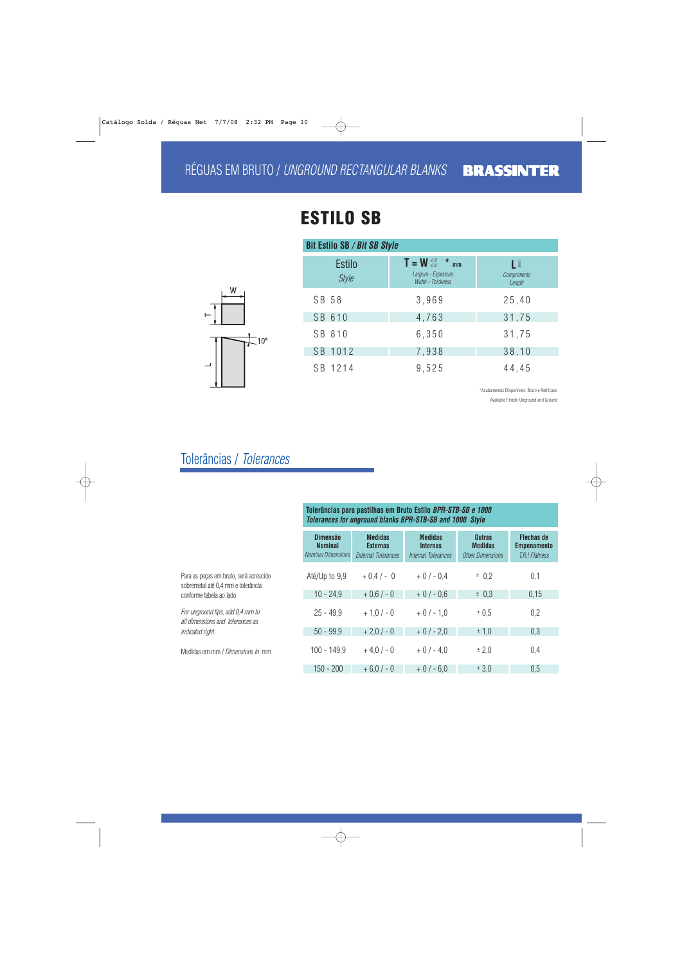# **ESTILO SB**

| W |              |
|---|--------------|
|   |              |
|   | $10^{\circ}$ |
|   |              |
|   |              |

| <b>Bit Estilo SB / Bit SB Style</b> |                                                                              |                            |  |  |  |  |  |
|-------------------------------------|------------------------------------------------------------------------------|----------------------------|--|--|--|--|--|
| <b>Estilo</b><br><b>Style</b>       | $T = W \frac{40,05}{40,05}$ * mm<br>Largura - Espessura<br>Width - Thickness | L<br>Comprimento<br>Length |  |  |  |  |  |
| SB 58                               | 3,969                                                                        | 25,40                      |  |  |  |  |  |
| SB 610                              | 4,763                                                                        | 31,75                      |  |  |  |  |  |
| SB 810                              | 6,350                                                                        | 31,75                      |  |  |  |  |  |
| SB 1012                             | 7,938                                                                        | 38,10                      |  |  |  |  |  |
| SB 1214                             | 9,525                                                                        | 44,45                      |  |  |  |  |  |

\*Acabamentos Disponíveis: Bruto e Retificado Available Finish: Unground and Ground

## Tolerâncias / Tolerances

|                                                                              | Tolerâncias para pastilhas em Bruto Estilo BPR-STB-SB e 1000<br><b>Tolerances for unground blanks BPR-STB-SB and 1000 Style</b> |                                                                 |                                                          |                                                            |                                                                  |
|------------------------------------------------------------------------------|---------------------------------------------------------------------------------------------------------------------------------|-----------------------------------------------------------------|----------------------------------------------------------|------------------------------------------------------------|------------------------------------------------------------------|
|                                                                              | <b>Dimensão</b><br><b>Nominal</b><br><b>Nominal Dimensions</b>                                                                  | <b>Medidas</b><br><b>Externas</b><br><b>External Tolerances</b> | <b>Medidas</b><br><b>Internas</b><br>Internal Tolerances | <b>Outras</b><br><b>Medidas</b><br><b>Other Dimensions</b> | <b>Flechas de</b><br><b>Empenamento</b><br><b>T.R.I Flatness</b> |
| Para as peças em bruto, será acrescido<br>sobremetal até 0.4 mm e tolerância | Até/Up to 9,9                                                                                                                   | $+0.4/-0$                                                       | $+0/-0.4$                                                | ± 0.2                                                      | 0,1                                                              |
| conforme tabela ao lado                                                      | $10 - 24.9$                                                                                                                     | $+0.6/-0$                                                       | $+0/-0.6$                                                | ± 0.3                                                      | 0,15                                                             |
| For unground tips, add 0.4 mm to<br>all dimensions and tolerances as         | $25 - 49.9$                                                                                                                     | $+1,0/-0$                                                       | $+0/-1.0$                                                | $\pm 0.5$                                                  | 0,2                                                              |
| indicated right.                                                             | $50 - 99.9$                                                                                                                     | $+2,0/-0$                                                       | $+0/-2.0$                                                | ± 1,0                                                      | 0,3                                                              |
| Medidas em mm / Dimensions in mm                                             | $100 - 149.9$                                                                                                                   | $+4.0/-0$                                                       | $+0/-4.0$                                                | ± 2,0                                                      | 0,4                                                              |
|                                                                              | $150 - 200$                                                                                                                     | $+6.0/-0$                                                       | $+0/-6,0$                                                | ± 3.0                                                      | 0,5                                                              |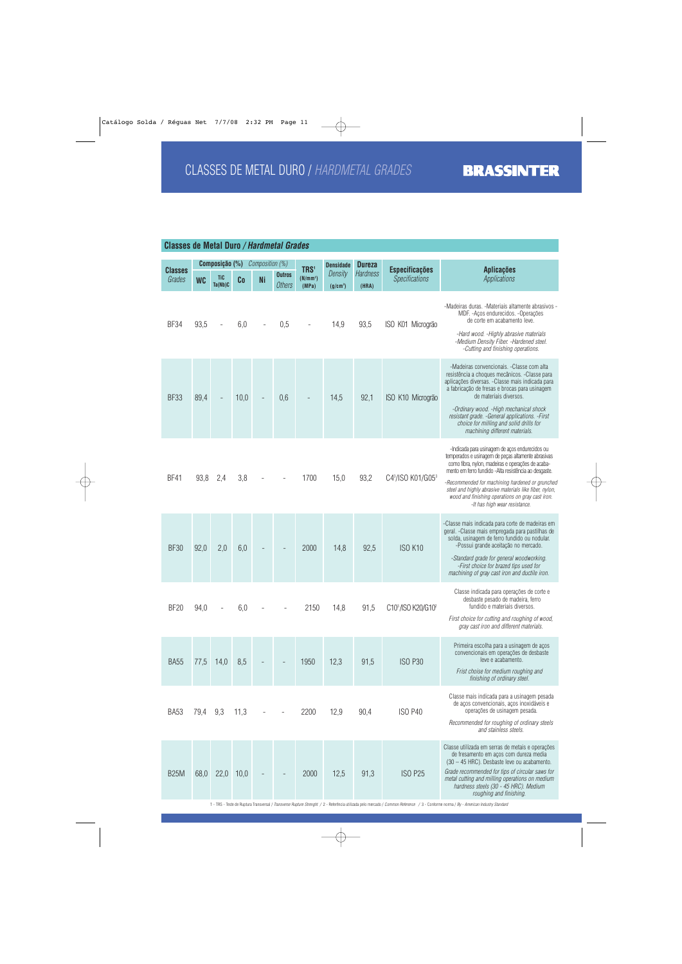| <b>Classes de Metal Duro / Hardmetal Grades</b> |                |                       |      |                 |                                |                                                   |                                 |                          |                                                |                                                                                                                                                                                                                                                                                                                                                                                                                      |
|-------------------------------------------------|----------------|-----------------------|------|-----------------|--------------------------------|---------------------------------------------------|---------------------------------|--------------------------|------------------------------------------------|----------------------------------------------------------------------------------------------------------------------------------------------------------------------------------------------------------------------------------------------------------------------------------------------------------------------------------------------------------------------------------------------------------------------|
|                                                 | Composição (%) |                       |      | Composition (%) |                                | <b>Densidade</b>                                  | <b>Dureza</b>                   |                          |                                                |                                                                                                                                                                                                                                                                                                                                                                                                                      |
| <b>Classes</b><br>Grades                        | <b>WC</b>      | <b>TiC</b><br>Ta(Nb)C | Co   | <b>Ni</b>       | <b>Outros</b><br><b>Others</b> | TRS <sup>1</sup><br>(N/mm <sup>2</sup> )<br>(MPa) | Density<br>(g/cm <sup>3</sup> ) | <b>Hardness</b><br>(HRA) | <b>Especificações</b><br><b>Specifications</b> | <b>Aplicações</b><br><b>Applications</b>                                                                                                                                                                                                                                                                                                                                                                             |
| BF34                                            | 93,5           |                       | 6,0  |                 | 0,5                            |                                                   | 14,9                            | 93,5                     | ISO K01 Microgrão                              | -Madeiras duras. -Materiais altamente abrasivos -<br>MDF. - Aços endurecidos. - Operações<br>de corte em acabamento leve.<br>-Hard wood. - Highly abrasive materials<br>-Medium Density Fiber. -Hardened steel.<br>-Cutting and finishing operations.                                                                                                                                                                |
| <b>BF33</b>                                     | 89,4           |                       | 10,0 |                 | 0,6                            |                                                   | 14,5                            | 92,1                     | ISO K10 Microgrão                              | -Madeiras convencionais. - Classe com alta<br>resistência a choques mecânicos. - Classe para<br>aplicações diversas. - Classe mais indicada para<br>a fabricação de fresas e brocas para usinagem<br>de materiais diversos.<br>-Ordinary wood. - High mechanical shock<br>resistant grade. - General applications. - First<br>choice for milling and solid drills for<br>machining different materials.              |
| <b>BF41</b>                                     | 93,8           | 2,4                   | 3,8  |                 |                                | 1700                                              | 15,0                            | 93,2                     | C43/ISO K01/G053                               | -Indicada para usinagem de aços endurecidos ou<br>temperados e usinagem de peças altamente abrasivas<br>como fibra, nylon, madeiras e operações de acaba-<br>mento em ferro fundido -Alta resistência ao desgaste.<br>-Recommended for machining hardened or grunched<br>steel and highly abrasive materials like fiber, nylon,<br>wood and finishing operations on gray cast iron.<br>-It has high wear resistance. |
| <b>BF30</b>                                     | 92,0           | 2,0                   | 6,0  |                 |                                | 2000                                              | 14,8                            | 92,5                     | <b>ISO K10</b>                                 | -Classe mais indicada para corte de madeiras em<br>geral. - Classe mais empregada para pastilhas de<br>solda, usinagem de ferro fundido ou nodular.<br>-Possui grande aceitação no mercado.<br>-Standard grade for general woodworking.<br>-First choice for brazed tips used for<br>machining of gray cast iron and ductile iron.                                                                                   |
| <b>BF20</b>                                     | 94,0           |                       | 6,0  |                 |                                | 2150                                              | 14,8                            | 91,5                     | C10 <sup>3</sup> /ISO K20/G10 <sup>2</sup>     | Classe indicada para operações de corte e<br>desbaste pesado de madeira, ferro<br>fundido e materiais diversos.<br>First choice for cutting and roughing of wood,<br>gray cast iron and different materials.                                                                                                                                                                                                         |
| <b>BA55</b>                                     | 77,5           | 14,0                  | 8,5  |                 |                                | 1950                                              | 12,3                            | 91,5                     | <b>ISO P30</b>                                 | Primeira escolha para a usinagem de aços<br>convencionais em operações de desbaste<br>leve e acabamento.<br>Frist choise for medium roughing and<br>finishing of ordinary steel.                                                                                                                                                                                                                                     |
| <b>BA53</b>                                     | 79,4           | 9,3                   | 11,3 |                 |                                | 2200                                              | 12,9                            | 90,4                     | <b>ISO P40</b>                                 | Classe mais indicada para a usinagem pesada<br>de aços convencionais, aços inoxidáveis e<br>operações de usinagem pesada.<br>Recommended for roughing of ordinary steels<br>and stainless steels.                                                                                                                                                                                                                    |
| <b>B25M</b>                                     | 68,0           | 22,0                  | 10,0 |                 |                                | 2000                                              | 12,5                            | 91,3                     | <b>ISO P25</b>                                 | Classe utilizada em serras de metais e operações<br>de fresamento em aços com dureza media<br>(30 - 45 HRC). Desbaste leve ou acabamento.<br>Grade recommended for tips of circular saws for<br>metal cutting and milling operations on medium<br>hardness steels (30 - 45 HRC). Medium<br>roughing and finishing.                                                                                                   |